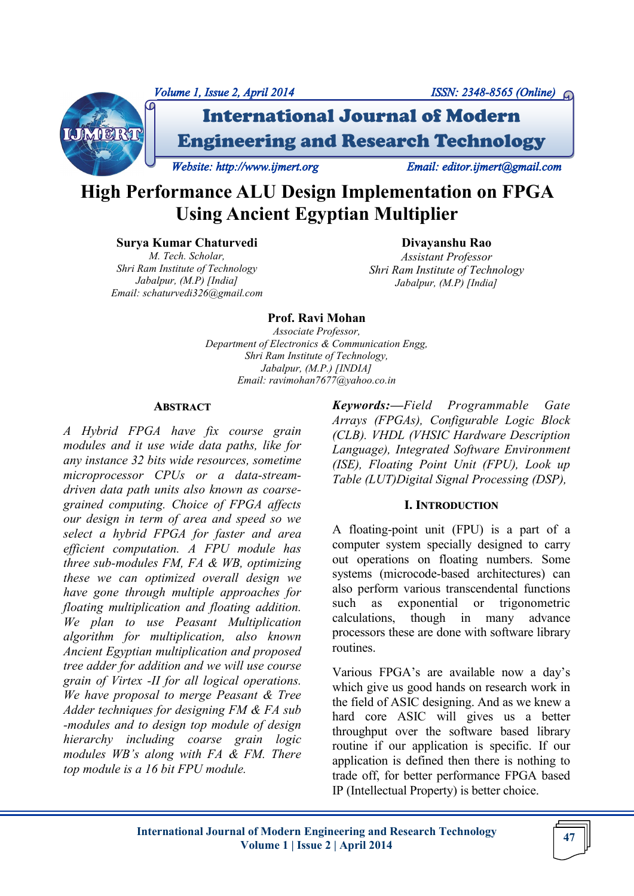



International Journal of Modern Engineering and Research Technology

*Website: http://www.ijmert.org Email: editor.ijmert@gmail.com* 

# **High Performance ALU Design Implementation on FPGA Using Ancient Egyptian Multiplier**

**Surya Kumar Chaturvedi**

*M. Tech. Scholar, Shri Ram Institute of Technology Jabalpur, (M.P) [India] Email: schaturvedi326@gmail.com* 

**Divayanshu Rao**  *Assistant Professor Shri Ram Institute of Technology Jabalpur, (M.P) [India]*

## **Prof. Ravi Mohan**

*Associate Professor, Department of Electronics & Communication Engg, Shri Ram Institute of Technology, Jabalpur, (M.P.) [INDIA] Email: ravimohan7677@yahoo.co.in* 

#### **ABSTRACT**

*A Hybrid FPGA have fix course grain modules and it use wide data paths, like for any instance 32 bits wide resources, sometime microprocessor CPUs or a data-streamdriven data path units also known as coarsegrained computing. Choice of FPGA affects our design in term of area and speed so we select a hybrid FPGA for faster and area efficient computation. A FPU module has three sub-modules FM, FA & WB, optimizing these we can optimized overall design we have gone through multiple approaches for floating multiplication and floating addition. We plan to use Peasant Multiplication algorithm for multiplication, also known Ancient Egyptian multiplication and proposed tree adder for addition and we will use course grain of Virtex -II for all logical operations. We have proposal to merge Peasant & Tree Adder techniques for designing FM & FA sub -modules and to design top module of design hierarchy including coarse grain logic modules WB's along with FA & FM. There top module is a 16 bit FPU module.*

*Keywords:—Field Programmable Gate Arrays (FPGAs), Configurable Logic Block (CLB). VHDL (VHSIC Hardware Description Language), Integrated Software Environment (ISE), Floating Point Unit (FPU), Look up Table (LUT)Digital Signal Processing (DSP),* 

## **I. INTRODUCTION**

A floating-point unit (FPU) is a part of a computer system specially designed to carry out operations on floating numbers. Some systems (microcode-based architectures) can also perform various transcendental functions such as exponential or trigonometric calculations, though in many advance processors these are done with software library routines.

Various FPGA's are available now a day's which give us good hands on research work in the field of ASIC designing. And as we knew a hard core ASIC will gives us a better throughput over the software based library routine if our application is specific. If our application is defined then there is nothing to trade off, for better performance FPGA based IP (Intellectual Property) is better choice.

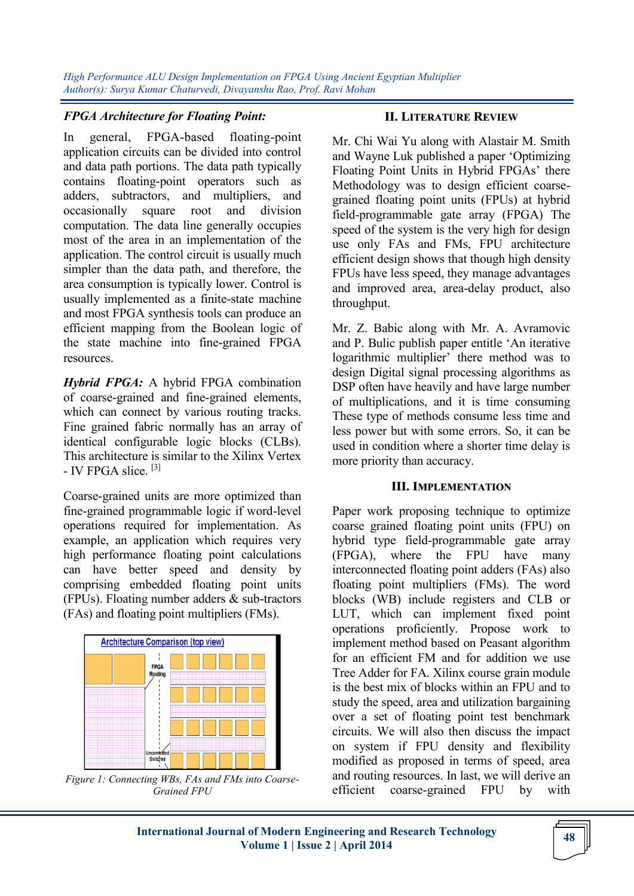*High Performance ALU Design Implementation on FPGA Using Ancient Egyptian Multiplier Author(s): Surya Kumar Chaturvedi, Divayanshu Rao, Prof. Ravi Mohan* 

### *FPGA Architecture for Floating Point:*

In general, FPGA-based floating-point application circuits can be divided into control and data path portions. The data path typically contains floating-point operators such as adders, subtractors, and multipliers, and occasionally square root and division computation. The data line generally occupies most of the area in an implementation of the application. The control circuit is usually much simpler than the data path, and therefore, the area consumption is typically lower. Control is usually implemented as a finite-state machine and most FPGA synthesis tools can produce an efficient mapping from the Boolean logic of the state machine into fine-grained FPGA resources.

*Hybrid FPGA:* A hybrid FPGA combination of coarse-grained and fine-grained elements, which can connect by various routing tracks. Fine grained fabric normally has an array of identical configurable logic blocks (CLBs). This architecture is similar to the Xilinx Vertex - IV FPGA slice. [3]

Coarse-grained units are more optimized than fine-grained programmable logic if word-level operations required for implementation. As example, an application which requires very high performance floating point calculations can have better speed and density by comprising embedded floating point units (FPUs). Floating number adders & sub-tractors (FAs) and floating point multipliers (FMs).



*Figure 1: Connecting WBs, FAs and FMs into Coarse-Grained FPU*

#### **II. LITERATURE REVIEW**

Mr. Chi Wai Yu along with Alastair M. Smith and Wayne Luk published a paper 'Optimizing Floating Point Units in Hybrid FPGAs' there Methodology was to design efficient coarsegrained floating point units (FPUs) at hybrid field-programmable gate array (FPGA) The speed of the system is the very high for design use only FAs and FMs, FPU architecture efficient design shows that though high density FPUs have less speed, they manage advantages and improved area, area-delay product, also throughput.

Mr. Z. Babic along with Mr. A. Avramovic and P. Bulic publish paper entitle 'An iterative logarithmic multiplier' there method was to design Digital signal processing algorithms as DSP often have heavily and have large number of multiplications, and it is time consuming These type of methods consume less time and less power but with some errors. So, it can be used in condition where a shorter time delay is more priority than accuracy.

#### **III. IMPLEMENTATION**

Paper work proposing technique to optimize coarse grained floating point units (FPU) on hybrid type field-programmable gate array (FPGA), where the FPU have many interconnected floating point adders (FAs) also floating point multipliers (FMs). The word blocks (WB) include registers and CLB or LUT, which can implement fixed point operations proficiently. Propose work to implement method based on Peasant algorithm for an efficient FM and for addition we use Tree Adder for FA. Xilinx course grain module is the best mix of blocks within an FPU and to study the speed, area and utilization bargaining over a set of floating point test benchmark circuits. We will also then discuss the impact on system if FPU density and flexibility modified as proposed in terms of speed, area and routing resources. In last, we will derive an efficient coarse-grained FPU by with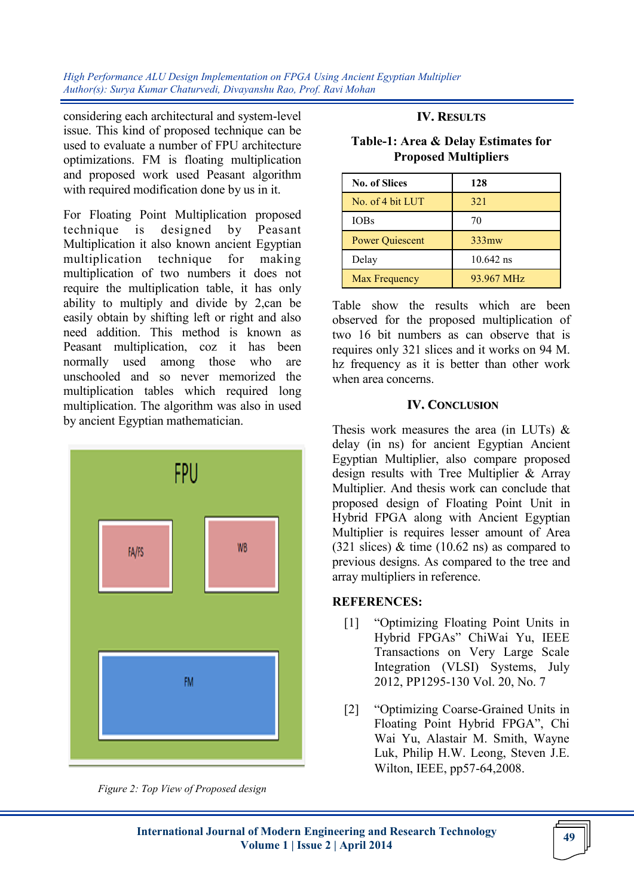*High Performance ALU Design Implementation on FPGA Using Ancient Egyptian Multiplier Author(s): Surya Kumar Chaturvedi, Divayanshu Rao, Prof. Ravi Mohan* 

considering each architectural and system-level issue. This kind of proposed technique can be used to evaluate a number of FPU architecture optimizations. FM is floating multiplication and proposed work used Peasant algorithm with required modification done by us in it.

For Floating Point Multiplication proposed technique is designed by Peasant Multiplication it also known ancient Egyptian multiplication technique for making multiplication of two numbers it does not require the multiplication table, it has only ability to multiply and divide by 2,can be easily obtain by shifting left or right and also need addition. This method is known as Peasant multiplication, coz it has been normally used among those who are unschooled and so never memorized the multiplication tables which required long multiplication. The algorithm was also in used by ancient Egyptian mathematician.



*Figure 2: Top View of Proposed design*

#### **IV. RESULTS**

**Table-1: Area & Delay Estimates for Proposed Multipliers**

| <b>No. of Slices</b>   | 128               |
|------------------------|-------------------|
| No. of 4 bit LUT       | 321               |
| <b>IOBs</b>            | 70                |
| <b>Power Quiescent</b> | 333 <sub>mw</sub> |
| Delay                  | $10.642$ ns       |
| Max Frequency          | 93.967 MHz        |

Table show the results which are been observed for the proposed multiplication of two 16 bit numbers as can observe that is requires only 321 slices and it works on 94 M. hz frequency as it is better than other work when area concerns.

#### **IV. CONCLUSION**

Thesis work measures the area (in LUTs) & delay (in ns) for ancient Egyptian Ancient Egyptian Multiplier, also compare proposed design results with Tree Multiplier & Array Multiplier. And thesis work can conclude that proposed design of Floating Point Unit in Hybrid FPGA along with Ancient Egyptian Multiplier is requires lesser amount of Area  $(321 \text{ slices})$  & time  $(10.62 \text{ ns})$  as compared to previous designs. As compared to the tree and array multipliers in reference.

## **REFERENCES:**

- [1] "Optimizing Floating Point Units in Hybrid FPGAs" ChiWai Yu, IEEE Transactions on Very Large Scale Integration (VLSI) Systems, July 2012, PP1295-130 Vol. 20, No. 7
- [2] "Optimizing Coarse-Grained Units in Floating Point Hybrid FPGA", Chi Wai Yu, Alastair M. Smith, Wayne Luk, Philip H.W. Leong, Steven J.E. Wilton, IEEE, pp57-64,2008.